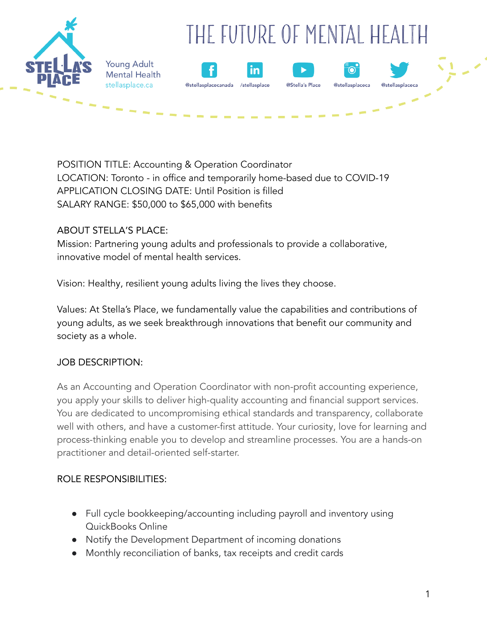

POSITION TITLE: Accounting & Operation Coordinator LOCATION: Toronto - in office and temporarily home-based due to COVID-19 APPLICATION CLOSING DATE: Until Position is filled SALARY RANGE: \$50,000 to \$65,000 with benefits

#### ABOUT STELLA'S PLACE:

Mission: Partnering young adults and professionals to provide a collaborative, innovative model of mental health services.

Vision: Healthy, resilient young adults living the lives they choose.

Values: At Stella's Place, we fundamentally value the capabilities and contributions of young adults, as we seek breakthrough innovations that benefit our community and society as a whole.

### JOB DESCRIPTION:

As an Accounting and Operation Coordinator with non-profit accounting experience, you apply your skills to deliver high-quality accounting and financial support services. You are dedicated to uncompromising ethical standards and transparency, collaborate well with others, and have a customer-first attitude. Your curiosity, love for learning and process-thinking enable you to develop and streamline processes. You are a hands-on practitioner and detail-oriented self-starter.

### ROLE RESPONSIBILITIES:

- Full cycle bookkeeping/accounting including payroll and inventory using QuickBooks Online
- Notify the Development Department of incoming donations
- Monthly reconciliation of banks, tax receipts and credit cards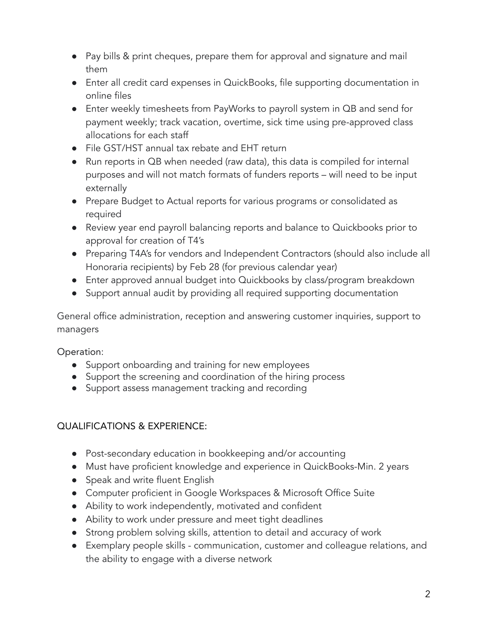- Pay bills & print cheques, prepare them for approval and signature and mail them
- Enter all credit card expenses in QuickBooks, file supporting documentation in online files
- Enter weekly timesheets from PayWorks to payroll system in QB and send for payment weekly; track vacation, overtime, sick time using pre-approved class allocations for each staff
- File GST/HST annual tax rebate and EHT return
- Run reports in QB when needed (raw data), this data is compiled for internal purposes and will not match formats of funders reports – will need to be input externally
- Prepare Budget to Actual reports for various programs or consolidated as required
- Review year end payroll balancing reports and balance to Quickbooks prior to approval for creation of T4's
- Preparing T4A's for vendors and Independent Contractors (should also include all Honoraria recipients) by Feb 28 (for previous calendar year)
- Enter approved annual budget into Quickbooks by class/program breakdown
- Support annual audit by providing all required supporting documentation

General office administration, reception and answering customer inquiries, support to managers

Operation:

- Support onboarding and training for new employees
- Support the screening and coordination of the hiring process
- Support assess management tracking and recording

# QUALIFICATIONS & EXPERIENCE:

- Post-secondary education in bookkeeping and/or accounting
- Must have proficient knowledge and experience in QuickBooks-Min. 2 years
- Speak and write fluent English
- Computer proficient in Google Workspaces & Microsoft Office Suite
- Ability to work independently, motivated and confident
- Ability to work under pressure and meet tight deadlines
- Strong problem solving skills, attention to detail and accuracy of work
- Exemplary people skills communication, customer and colleague relations, and the ability to engage with a diverse network